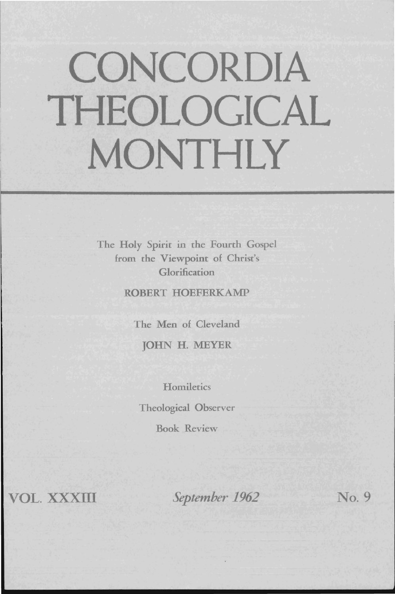# **CONCORDIA THEOLOGICAL MONTHLY**

The Holy Spirit in the Fourth Gospel from the Viewpoint of Christ's Glorification

ROBERT HOEFERKAMP

The Men of Cleveland

JOHN H. MEYER

**Homiletics** 

Theological Observer

Book Review

VOL. XXXIII

*September 1962* No. 9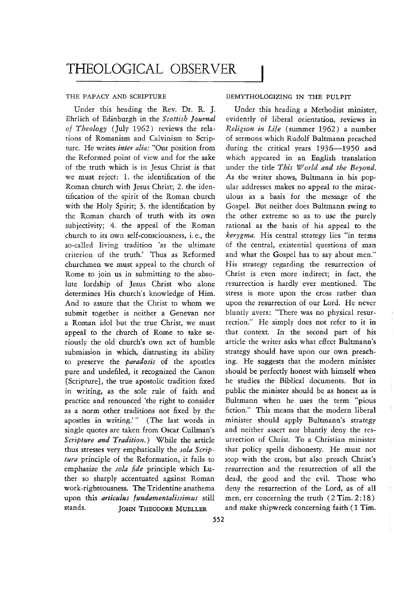### THE PAPACY AND SCRIPTURE

Under this heading the Rev. Dr. R. J. Ehrlich of Edinburgh in the *Scottish Journal 0/ Theology* (July 1962) reviews the relations of Romanism and Calvinism to Scripture. He writes *inter alia:* "Our position from the Reformed point of view and for the sake of the truth which is in Jesus Christ is that we must reject: 1. the identification of the Roman church with Jesus Christ; 2. the identification of the spirit of the Roman church with the Holy Spirit; 3. the identification by the Roman church of truth with its own subjectivity; 4. the appeal of the Roman church to its own self-consciousness, i. e., the so-called living tradition 'as the ultimate criterion of the truth.' Thus as Reformed churchmen we must appeal to the church of Rome to join us in submitting to the absolute lordship of Jesus Christ who alone determines His church's knowledge of Him. And to assure that the Christ to whom we submit together is neither a Genevan nor a Roman idol but the true Christ, we must appeal to the church of Rome to take seriously the old church's own act of humble submission in which, distrusting its ability to preserve the *paradosis* of the apostles pure and undefiled, it recognized the Canon [Scripture}, the true apostolic tradition fixed in writing, as the sole rule of faith and practice and renounced 'the right to consider as a norm other traditions not fixed by the apostles in writing.'" (The last words in single quotes are taken from Oscar Cullman's Scripture and Tradition.) While the article thus stresses very emphatically the *sola Scriptura* principle of the Reformation, it fails to emphasize the *sola fide* principle which Luther so sharply accentuated against Roman work-righteousness. The Tridentine anathema upon this *articulus /tmdamentalissimus* still stands. JOHN THEODORE MUELLER

### DEMYTHOLOGIZING IN THE PULPIT

Under this heading a Methodist minister, evidently of liberal orientation, reviews in *Religion in Life* (summer 1962) a number of sermons which Rudolf Bultmann preached during the critical years 1936-1950 and which appeared in an English translation under the title *This World and the Beyond.*  As the writer shows, Bultmann in his popular addresses makes no appeal to the miraculous as a basis for the message of the Gospel. But neither does Bultmann swing to the other extreme so as to use the purely rational as the basis of his appeal to the *kerygma.* His central strategy lies "in terms of the central, existential questions of man and what the Gospel has to say about men." His strategy regarding the resurrection of Christ is even more indirect; in fact, the resurrection is hardly ever mentioned. The stress is more upon the cross rather than upon the resurrection of our Lord. He never bluntly avers: "There was no physical resurrection." He simply does not refer to it in that context. In the second part of his article the writer asks what effect Bultmann's strategy should have upon our own preaching. He suggests that the modern minister should be perfectly honest with himself when he studies the Biblical documents. But in public the minister should be as honest as is Bultmann when he uses the term "pious fiction." This means that the modern liberal minister should apply Bultmann's strategy and neither assert nor bluntly deny the resurrection of Christ. To a Christian minister that policy spells dishonesty. He must not stop with the cross, but also preach Christ's resurrection and the resurrection of all the dead, the good and the evil. Those who deny the resurrection of the Lord, as of all men, err concerning the truth (2 Tim. 2:18) and make shipwreck concerning faith (1 Tim.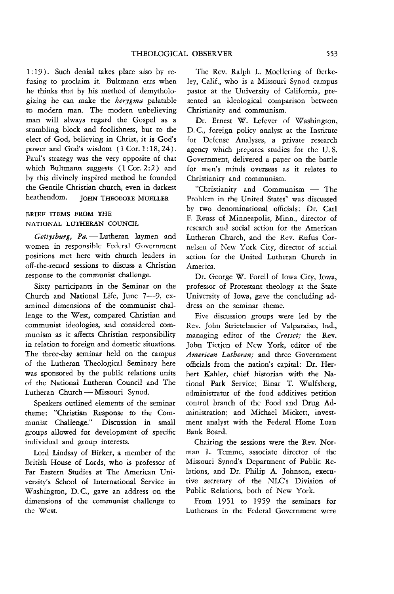1: 19). Such denial takes place also by refusing to proclaim it. Bultmann errs when he thinks that by his method of demythologizing he can make the *kerygma* palatable to modern man. The modern unbelieving man will always regard the Gospel as a stumbling block and foolishness, but to the elect of God, believing in Christ, it is God's power and God's wisdom (1 Cor. 1:18, 24). Paul's strategy was the very opposite of that which Bultmann suggests  $(1 \text{Cor. } 2: 2)$  and by this divinely inspired method he founded the Gentile Christian church, even in darkest heathendom. JOHN THEODORE MUELLER

## BRIEF ITEMS FROM THE NATIONAL LUTHERAN COUNCIL

Gettysburg, Pa. - Lutheran laymen and women in responsible Federal Government positions met here with church leaders in off-the-rewrd sessions to discuss a Christian response to the communist challenge.

Sixty participants in the Seminar on the Church and National Life, June 7-9, examined dimensions of the communist challenge to the West, compared Christian and communist ideologies, and considered communism as it affects Christian responsibility in relation to foreign and domestic situations. The three-day seminar held on the campus of the Lutheran Theological Seminary here was sponsored by the public relations units of the National Lutheran Council and The Lutheran Church - Missouri Synod.

Speakers outlined elements of the seminar theme: "Christian Response to the Communist Challenge." Discussion in small groups allowed for development of specific individual and group interests.

Lord Lindsay of Birker, a member of the British House of Lords, who is professor of Far Eastern Studies at The American University's School of International Service in Washington, D.C., gave an address on the dimensions of the communist challenge to the West.

The Rev. Ralph L. Moellering of Berkeley, Calif., who is a Missouri Synod campus pastor at the University of California, presented an ideological comparison between Christianity and communism.

Dr. Ernest W. Lefever of Washington, D. C, foreign policy analyst at the Institute for Defense Analyses, a private research agency which prepares studies for the U. S. Government, delivered a paper on the battle for men's minds overseas as it relates to Christianity and communism.

"Christianity and Communism - The Problem in the United States" was discussed by two denominational officials: Dr. Carl F. Reuss of Minneapolis, Minn., director of research and social action for the American Lutheran Church, and the Rev. Rufus Cornelsen of New York City, director of social action for the United Lutheran Church in America.

Dr. George W. Forell of Iowa City, Iowa, professor of Protestant theology at the State University of Iowa, gave the concluding address on the seminar theme.

Five discussion groups were led by the Rev. John Strietelmeier of Valparaiso, Ind., managing editor of the *Cresset;* the Rev. John Tietjen of New York, editor of the *American Luthefan;* and three Government officials from the nation's capital: Dr. Herbert Kahler, chief historian with the National Park Service; Einar T. Wulfsberg, administrator of the food additives petition control branch of the Food and Drug Administration; and Michael Mickett, investment analyst with the Federal Home Loan Bank Board.

Chairing the sessions were the Rev. Norman 1. Temme, associate director of the Missouri Synod's Department of Public Relations, and Dr. Philip A. Johnson, execu· tive secretary of the NLC's Division of Public Relations, both of New York.

From 1951 to 1959 the seminars for Lutherans in the Federal Government were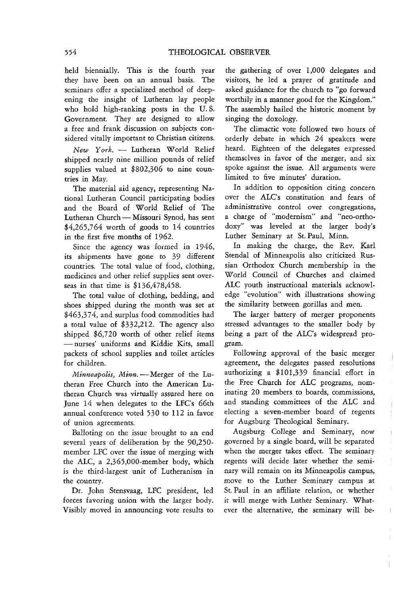held biennially. This is the fourth year they have been on an annual basis. The seminars offer a specialized method of deepening the insight of Lutheran lay people who hold high-ranking posts in the U. S. Government. They are designed to allow a free and frank discussion on subjects considered vitally important to Christian citizens.

New York. - Lutheran World Relief shipped nearly nine million pounds of relief supplies valued at \$802,306 to nine countries in May.

The material aid agency, representing National Lutheran Council participating bodies and the Board of World Relief of The Lutheran Church - Missouri Synod, has sent  $$4,265,764$  worth of goods to 14 countries in the first five months of 1962.

Since the agency was formed in 1946, its shipments have gone to 39 different countries. The total value of food, clothing, medicines and other relief supplies sent overseas in that time is \$136,478,458.

The total value of clothing, bedding, and shoes shipped during the month was set at \$463,374, and surplus food commodities had a total value of \$332,212. The agency also shipped \$6,720 worth of other relief items - nurses' uniforms and Kiddie Kits, small packets of school supplies and toilet articles for children.

*Minneapolis, Minn.* - Merger of the Lutheran Free Church into the American Lutheran Church was virtually assured here on June 14 when delegates to the LFC's 66th annual conference voted 530 to 112 in favor of union agreements.

Balloting on the issue brought to an end several years of deliberation by the 90,250 member LFC over the issue of merging with the ALC, a 2,365,000-member body, which is the third-largest unit of Lutheranism in the country.

Dr. John Stensvaag, LFC president, led forces favoring union with the larger body. Visibly moved in announcing vote results to the gathering of over 1,000 delegates and visitors, he led a prayer of gratitude and asked guidance for the church to "go forward worthily in a manner good for the Kingdom." The assembly hailed the historic moment by singing the doxology.

The climactic vote followed two hours of orderly debate in which 24 speakers were heard. Eighteen of the delegates expressed themselves in favor of the merger, and six spoke against the issue. All arguments were limited to five minutes' duration.

In addition to opposition citing concern over the ALC's constitution and fears of administrative control over congregations, a charge of "modernism" and "neo-orthodoxy" was leveled at the larger body's Luther Seminary at St. Paul, Minn.

In making the charge, the Rev. Karl Stendal of Minneapolis also criticized Russian Orthodox Church membership in the World Council of Churches and claimed ALC youth instructional materials acknowledge "evolution" with illustrations showing the similarity between gorillas and men.

The larger battery of merger proponents stressed advantages to the smaller body by being a part of the ALC's widespread program.

Following approval of the basic merger agreement, the delegates passed resolutions authorizing a \$101,339 financial effort in the Free Church for ALC programs, nominating 20 members to boards, commissions, and standing committees of the ALC and electing a seven-member board of regents for Augsburg Theological Seminary.

Augsburg College and Seminary, now governed by a single board, will be separated when the merger takes effect. The seminary regents will decide later whether the seminary will remain on its Minneapolis campus, move to the Luther Seminary campus at St. Paul in an affiliate relation, or whether it will merge with Luther Seminary. Whatever the alternative, the seminary will be-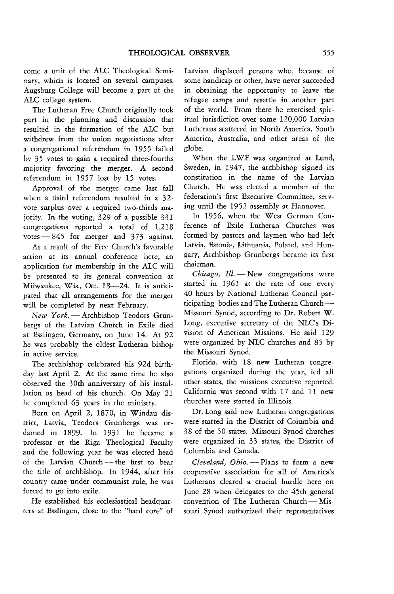come a unit of the ALC Theological Seminary, which is located on several campuses. Augsburg College will become a part of the ALC college system.

The Lutheran Free Church originally took part in the planning and discussion that resulted in the formation of the ALC but withdrew from the union negotiations after a congregational referendum in 1955 failed by 35 votes to gain a required three-fourths majority favoring the merger. A second referendum in 1957 lost by 15 votes.

Approval of the merger came last fall when a third referendum resulted in a 32 vote surplus over a required two-thirds majority. In the voting, 329 of a possible 331 congregations reported a total of 1,218 votes  $-845$  for merger and 373 against.

.As a result of the Free Church's favorable action at its annual conference here, an application for membership in the ALC will be presented to its general convention at Milwaukee, Wis., Oct. 18-24. It *is* anticipated that all arrangements for the merger will be completed by next February.

*New York.* - Archbishop Teodors Grunbergs of the Latvian Church in Exile died at Esslingen, Germany, on June 14. At 92 he was probably the oldest Lutheran bishop in active service.

The archbishop celebrated his 92d birthday last April 2. At the same time he also observed the 30th anniversary of his installation as head of his church. On May 21 he completed 63 years in the ministry.

Born on April 2, 1870, in Windau district, Latvia, Teodors Grunbergs was ordained in 1899. In 1931 he became a professor at the Riga Theological Faculty and the following year he was elected head of the Latvian Church-the first to bear the title of archbishop. In 1944, after his country came under communist rule, he was forced to go into exile.

He established his ecclesiastical headquarters at Esslingen, close to the "hard core" of Latvian displaced persons who, because of some handicap or other, have never succeeded in obtaining the opportunity to leave the refugee camps and resettle in another part of the world. From there he exercised spiritual jurisdiction over some 120,000 Latvian Lutherans scattered in North America, South America, Australia, and other areas of the globe.

When the LWF was organized at Lund, Sweden, in 1947, the archbishop signed its constitution in the name of the Latvian Church. He was elected a member of the federation's first Executive Committee, serving until the 1952 assembly at Hannover.

In 1956, when the West German Conference of Exile Lutheran Churches was formed by pastors and laymen who had left Latvia, Estonia, Lithuania, Poland, and Hungary, Archbishop Grunbergs became its first chairman.

*Chicago, Ill.* - New congregations were started in 1961 at the rate of one every 40 hours by National Lutheran Council participating bodies and The Lutheran Church-Missouri Synod, according to Dr. Robert W. Long, executive secretary of the NLC's Division of American Missions. He said 129 were organized by NLC churches and 85 by the Missouri Synod.

Florida, with 18 new Lutheran congregations organized during the year, led all other states, the missions executive reported. California was second with 17 and 11 new churches were started in Illinois.

Dr. Long said new Lutheran congregations were started in the District of Columbia and 38 of the 50 states. Missouri Synod churches were organized in 33 states, the District of Columbia and Canada.

*Cleveland, Obio.* - Plans to form a new cooperative association for all of America's Lutherans cleared a crucial hurdle here on June 28 when delegates to the 45th general convention of The Lutheran Church - Missouri Synod authorized their representatives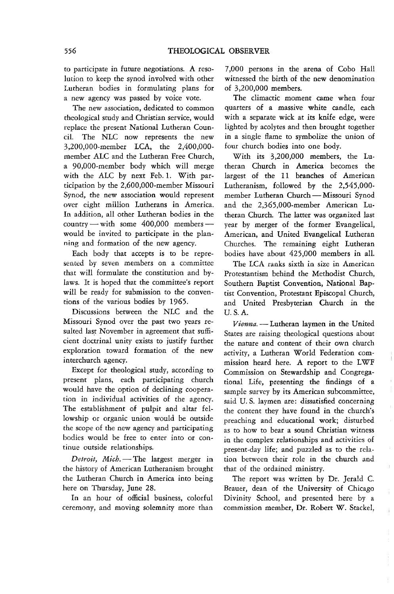to participate in future negotiations. A resolution to keep the synod involved with other Lutheran bodies in formulating plans for a new agency was passed by voice vote.

The new association, dedicated to common theological study and Christian service, would replace the present National Lutheran CounciL The NLC now represents the new 3,200,000-member LCA, the 2,400,000 member ALC and the Lutheran Free Church, a 90,000-member body which will merge with the ALC by next Feb. 1. With participation by the 2,GOO,000-member Missouri Synod, the new association would represent over eight million Lutherans in America. In addition, all other Lutheran bodies in the country  $-\text{with}$  some 400,000 members  $-\text{}$ would be invited to participate in the planning and formation of the new agency.

Each body that accepts is to be repre sented by seven members on a committee that will formulate the constitution and bylaws. It is hoped that the committee's report will be ready for submission to the conventions of the various bodies by 1965.

Discussions between the NLC and the Missouri Synod over the past two years resulted last November in agreement that sufficient doctrinal unity exists to justify further exploration toward formation of the new interchurch agency.

Except for theological study, according to present plans, each participating church would have the option of declining cooperation in individual activities of the agency. The establishment of pulpit and altar fellowship or organic union would be outside the scope of the new agency and participating bodies would be free to enter into or continue outside relationships.

*Detroit, Mich.* - The largest merger in the history of American Lutheranism brought the Lutheran Church in America into being here on Thursday, June 28.

In an hour of official business, colorful ceremony, and moving solemnity more than 7,000 persons in the arena of Cobo Hall witnessed the birth of the new denomination of 3,200,000 members.

The climactic moment came when four quarters of a massive white candle, each with a separate wick at its knife edge, were lighted by acolytes and then brought together in a single flame to symbolize the union of four church bodies into one body.

With its 3,200,000 members, the Lutheran Church in America becomes the largest of the 11 branches of American Lutheranism, followed by the 2,545,000 member Lutheran Church - Missouri Synod and the 2,365,000-member American Lutheran Church. The latter was organized last year by merger of the former Evangelical, American, and United Evangelical Lutheran Churches, The remaining eight Lutheran bodies have about 425,000 members in all.

The LCA ranks sixth in size in American Protestantism behind the Methodist Church, Southern Baptist Convention, National Baptist Convention, Protestant Episcopal Church, and United Presbyterian Church in the U.S.A.

*Vienna.* - Lutheran laymen in the United States are raising theological questions about the nature and content of their own church activity, a Lutheran World Federation commission heard here. A report to the LWF Commission on Stewardship and Congregational Life, presenting the findings of a sample survey by its American subcommittee, said U. S. laymen are: dissatisfied concerning the content they have found in the church's preaching and educational work; disturbed as to how to bear a sound Christian witness in the complex relationships and activities of present-day life; and puzzled as to the relation between their role in the church and that of the ordained ministry.

The report was written by Dr. Jerald C. Brauer, dean of the University of Chicago Divinity School, and presented here by a commission member, Dr. Robert W. Stackel,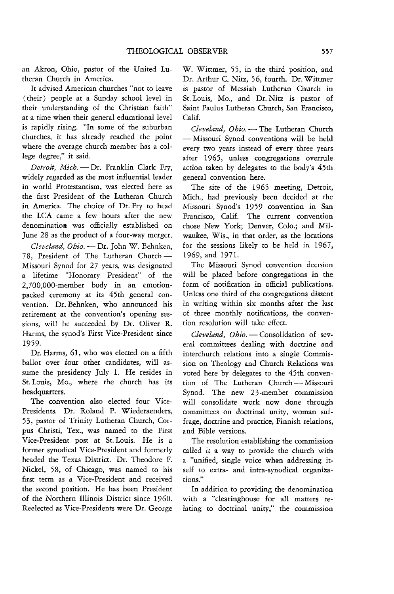an Akron, Ohio, pastor of the United Lutheran Church in America.

It advised American churches "not to leave ( their) people at a Sunday school level in their understanding of the Christian faith" at a time when their general educational level is rapidly rising. "In some of the suburban churches, it has already reached the point where the average church member has a college degree," it said.

*Detroit, Mich.* - Dr. Franklin Clark Fry, widely regarded as the most influential leader in world Protestantism, was elected here as the first President of the Lutheran Church in America. The choice of Dr. Fry to head the LCA came a few hours after the new denomination was officially established on June 28 as the product of a four-way merger.

*Cleveland, Obio.* - Dr. John W. Behnken, 78, President of The Lutheran Church-Missouri Synod for 27 years, was designated a lifetime "Honorary President" of the 2,700,OOO-member body in an emotionpacked ceremony at its 45th general convention. Dr. Behnken, who announced his retirement at the convention's opening sessions, will be succeeded by Dr. Oliver R. Harms, the synod's First Vice-President since 1959.

Dr. Harms, 61, who was elected on a fifth ballot over four other candidates, will assume the presidency July 1. He resides in St. Louis, Mo., where the church has its headquarters.

The convention also elected four Vice-Presidents. Dr. Roland P. Wiederaenders, 53, pastor of Trinity Lutheran Church, Corpus Christi, Tex., was named to the First Vice-President post at St. Louis. He is a former synodical Vice-President and formerly headed the Texas District. Dr. Theodore F. Nickel, 58, of Chicago, was named to his first term as a Vice-President and received the second position. He has been President of the Northern Illinois District since 1960. Reelected as Vice-Presidents were Dr. George

W. Wittmer, 55, in the third position, and Dr. Arthur C. Nitz, 56, fourth. Dr. Wittmer is pastor of Messiah Lutheran Church in St. Louis, Mo., and Dr. Nitz is pastor of Saint Paulus Lutheran Church, San Francisco, Calif.

Cleveland, Obio. - The Lutheran Church - Missouri Synod conventions will be held every two years instead of every three years after 1965, unless congregations overrule action taken by delegates to the body's 45th general convention here.

The site of the 1965 meeting, Detroit, Mich., had previously been decided at the Missouri Synod's 1959 convention in San Francisco, Calif. The current convention chose New York; Denver, Colo.; and Milwaukee, Wis., in that order, as the locations for the sessions likely to be held in 1967, 1969, and 1971.

The Missouri Synod convention decision will be placed before congregations in the form of notification in official publications. Unless one third of the congregations dissent in writing within six months after the last of three monthly notifications, the convention resolution will take effect.

*Cleveland, Ohio.* - Consolidation of several committees dealing with doctrine and interchurch relations into a single Commission on Theology and Church Relations was voted here by delegates to the 45th convention of The Lutheran Church-Missouri Synod. The new 23-member commission will consolidate work now done through committees on doctrinal unity, woman suffrage, doctrine and practice, Finnish relations, and Bible versions.

The resolution establishing the commission called it a way to provide the church with a "unified, single voice when addressing itself to extra- and intra-synodical organizations."

In addition to providing the denomination with a "clearinghouse for all matters relating to doctrinal unity," the commission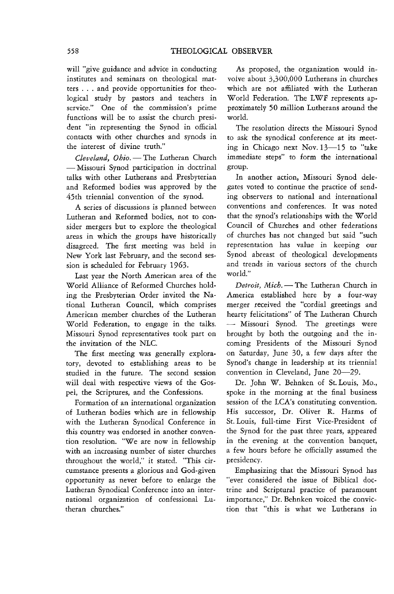will "give guidance and advice in conducting institutes and seminars on theological matters ... and provide opportunities for theological study by pastors and teachers in service." One of the commission's prime functions will be to assist the church president "in representing the Synod in official contacts with other churches and synods in the interest of divine truth."

*Cleveland, Obio.* - The Lutheran Church - Missouri Synod participation in doctrinal talks with other Lutherans and Presbyterian and Reformed bodies was approved by the 45th triennial convention of the synod.

A series of discussions is planned between Lutheran and Reformed bodies, not to consider mergers but to explore the theological areas in which the groups have historically disagreed. The first meeting was held in New York last February, and the second session is scheduled for February 1963.

Last year the North American area of the World Alliance of Reformed Churches holding the Presbyterian Order invited the National Lutheran Council, which comprises American member churches of the Lutheran World Federation, to engage in the talks. Missouri Synod representatives took part on the invitation of the NLC.

The first meeting was generally exploratory, devoted to establishing areas to be studied in the future. The second session will deal with respective views of the Gospel, the Scriptures, and the Confessions.

Formation of an international organization of Lutheran bodies which are in fellowship with the Lutheran Synodical Conference in this country was endorsed in another convention resolution. "We are now in fellowship with an increasing number of sister churches throughout the world," it stated. "This circumstance presents a glorious and God-given opportunity as never before to enlarge the Lutheran Synodical Conference into an international organization of confessional Lutheran churches."

As proposed, the organization would involve about 3,300,000 Lutherans in churches which are not affiliated with the Lutheran World Federation. The LWF represents approximately 50 million Lutherans around the world.

The resolution directs the Missouri Synod to ask the synodical conference at its meeting in Chicago next Nov. 13-15 to "take immediate steps" to form the international group.

In another action, Missouri Synod delegates voted to continue the practice of sending observers to national and international conventions and conferences. It was noted that the synod's relationships with the World Council of Churches and other federations of churches has not changed but said "such representation has value in keeping our Synod abreast of theological developments and trends in various sectors of the church world."

*Detroit, Mich.* - The Lutheran Church in America established here by a four-way merger received the "cordial greetings and hearty felicitations" of The Lutheran Church - Missouri Synod. The greetings were brought by both the outgoing and the incoming Presidents of the Missouri Synod on Saturday, June 30, a few days after the Synod's change in leadership at its triennial convention in Cleveland, June 20-29.

Dr. John W. Behnken of St. Louis, Mo., spoke in the morning at the final business session of the LCA's constituting convention. His successor, Dr. Oliver R. Harms of St. Louis, full-time First Vice-President of the Synod for the past three years, appeared in the evening at the convention banquet, a few hours before he officially assumed the presidency.

Emphasizing that the Missouri Synod has "ever considered the issue of Biblical doctrine and Scriptural practice of paramount importance," Dr. Behnken voiced the conviction that "this is what we Lutherans in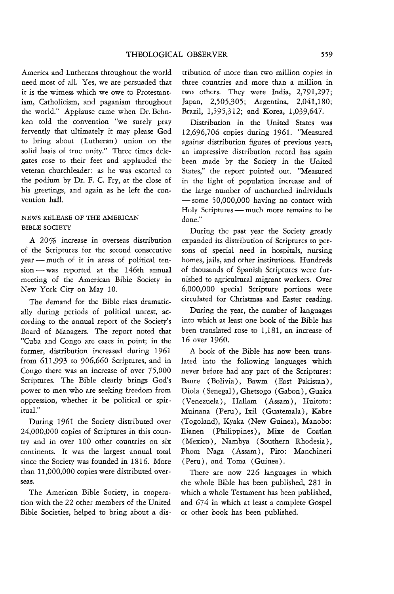America and Lutherans throughout the world need most of all. Yes, we are persuaded that it is the witness which we owe to Protestantism, Catholicism, and paganism throughout the world." Applause came when Dr. Behnken told the convention "we surely pray fervently that ultimately it may please God to bring about (Lutheran) union on the solid basis of true unity." Three times delegates rose to their feet and applauded the veteran churchleader: as he was escorted to the podium by Dr. F. C. Fry, at the close of his greetings, and again as he left the convention hall.

# NEWS RELEASE OF THE AMERICAN BIBLE SOCIETY

A 20% increase in overseas distribution of the Scriptures for the second consecutive year - much of it in areas of political tension - was reported at the 146th annual meeting of the American Bible Society in New York City on May 10.

The demand for the Bible rises dramatically during periods of political unrest, according to the annual report of the Society's Board of Managers. The report noted that "Cuba and Congo are cases in point; in the former, distribution increased during 1961 from 611,993 to 906,660 Scriptures, and in Congo there was an increase of over 75,000 Scriptures. The Bible clearly brings God's power to men who are seeking freedom from oppression, whether it be political or spiritual."

During 1961 the Society distributed over 24,000,000 copies of Scriptures in this country and in over 100 other countries on six continents. **It** was the largest annual total since the Society was founded in 1816. More than 11,000,000 copies were distributed overseas.

The American Bible Society, in cooperation with the 22 other members of the United Bible Societies, helped to bring about a dis-

tribution of more than two million copies in three countries and more than a million in two others. They were India, 2,791,297; Japan, 2,505,305; Argentina, 2,041,180; Brazil, 1,595,312; and Korea, 1,039,647.

Distribution in the United States was 12,696,706 copies during 1961. "Measured against distribution figures of previous years, an impressive distribution record has again been made by the Society in the United States," the report pointed out. "Measured in the light of population increase and of the large number of unchurched individuals  $-$  some 50,000,000 having no contact with Holy Scriptures - much more remains to be done."

During the past year the Society greatly expanded its distribution of Scriptures to persons of special need in hospitals, nursing homes, jails, and other institutions. Hundreds of thousands of Spanish Scriptures were furnished to agricultural migrant workers. Over 6,000,000 special Scripture portions were circulated for Christmas and Easter reading.

During the year, the number of languages into which at least one book of the Bible has been translated rose to 1,181, an increase of 16 over 1960.

A book of the Bible has now been translated into the following languages which never before had any part of the Scriptures: Baure ( Bolivia), Bawm (East Pakistan), Diola (Senegal), Ghetsogo (Gabon), Guaica (Venezuela), Hallam (Assam), Huitoto: Muinana (Peru), Ixil (Guatemala), Kabre (Togoland), Kyaka (New Guinea), Manobo: Ilianen (Philippines), Mixe de Coatlan (Mexico), Nambya (Southern Rhodesia), Phom Naga (Assam), Piro: Manchineri (Peru), and Toma (Guinea).

There are now 226 languages in which the whole Bible has been published, 281 in which a whole Testament has been published, and 674 in which at least a complete Gospel or other book has been published.